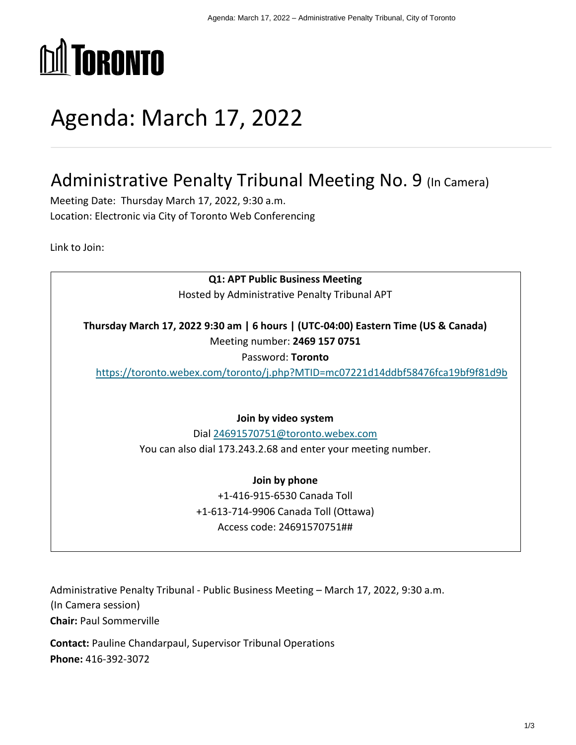

# Agenda: March 17, 2022

## Administrative Penalty Tribunal Meeting No. 9 (In Camera)

Meeting Date: Thursday March 17, 2022, 9:30 a.m. Location: Electronic via City of Toronto Web Conferencing

Link to Join:

**Q1: APT Public Business Meeting** Hosted by Administrative Penalty Tribunal APT **Thursday March 17, 2022 9:30 am | 6 hours | (UTC-04:00) Eastern Time (US & Canada)** Meeting number: **2469 157 0751** Password: **Toronto** <https://toronto.webex.com/toronto/j.php?MTID=mc07221d14ddbf58476fca19bf9f81d9b> **Join by video system** Dial [24691570751@toronto.webex.com](sip:24691570751@toronto.webex.com) You can also dial 173.243.2.68 and enter your meeting number. **Join by phone** +1-416-915-6530 Canada Toll +1-613-714-9906 Canada Toll (Ottawa) Access code: 24691570751##

Administrative Penalty Tribunal - Public Business Meeting – March 17, 2022, 9:30 a.m. (In Camera session) **Chair:** Paul Sommerville

**Contact:** Pauline Chandarpaul, Supervisor Tribunal Operations **Phone:** 416-392-3072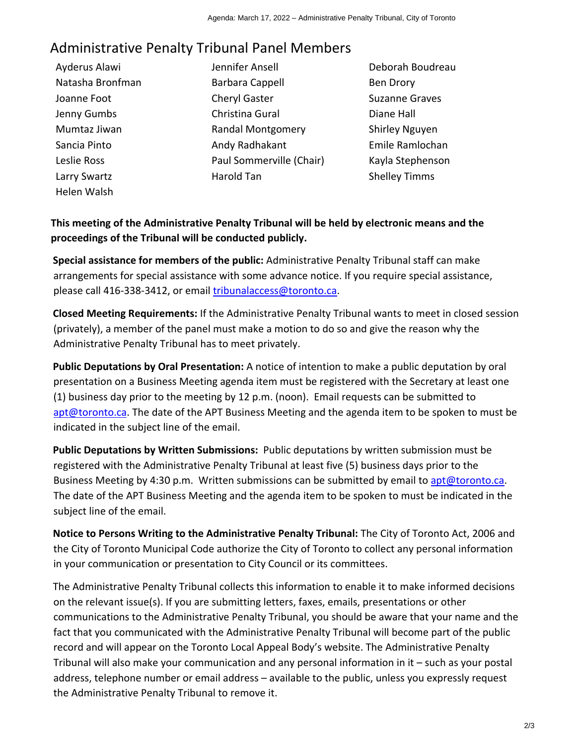## Administrative Penalty Tribunal Panel Members

- Ayderus Alawi Natasha Bronfman Joanne Foot Jenny Gumbs Mumtaz Jiwan Sancia Pinto Leslie Ross Larry Swartz Helen Walsh
- Jennifer Ansell Barbara Cappell Cheryl Gaster Christina Gural Randal Montgomery Andy Radhakant Paul Sommerville (Chair) Harold Tan
- Deborah Boudreau Ben Drory Suzanne Graves Diane Hall Shirley Nguyen Emile Ramlochan Kayla Stephenson Shelley Timms

## **This meeting of the Administrative Penalty Tribunal will be held by electronic means and the proceedings of the Tribunal will be conducted publicly.**

**Special assistance for members of the public:** Administrative Penalty Tribunal staff can make arrangements for special assistance with some advance notice. If you require special assistance, please call 416-338-3412, or email [tribunalaccess@toronto.ca.](mailto:tribunalaccess@toronto.ca)

**Closed Meeting Requirements:** If the Administrative Penalty Tribunal wants to meet in closed session (privately), a member of the panel must make a motion to do so and give the reason why the Administrative Penalty Tribunal has to meet privately.

**Public Deputations by Oral Presentation:** A notice of intention to make a public deputation by oral presentation on a Business Meeting agenda item must be registered with the Secretary at least one (1) business day prior to the meeting by 12 p.m. (noon). Email requests can be submitted to [apt@toronto.ca.](mailto:apt@toronto.ca) The date of the APT Business Meeting and the agenda item to be spoken to must be indicated in the subject line of the email.

**Public Deputations by Written Submissions:** Public deputations by written submission must be registered with the Administrative Penalty Tribunal at least five (5) business days prior to the Business Meeting by 4:30 p.m. Written submissions can be submitted by email to [apt@toronto.ca.](mailto:apt@toronto.ca) The date of the APT Business Meeting and the agenda item to be spoken to must be indicated in the subject line of the email.

**Notice to Persons Writing to the Administrative Penalty Tribunal:** The City of Toronto Act, 2006 and the City of Toronto Municipal Code authorize the City of Toronto to collect any personal information in your communication or presentation to City Council or its committees.

The Administrative Penalty Tribunal collects this information to enable it to make informed decisions on the relevant issue(s). If you are submitting letters, faxes, emails, presentations or other communications to the Administrative Penalty Tribunal, you should be aware that your name and the fact that you communicated with the Administrative Penalty Tribunal will become part of the public record and will appear on the Toronto Local Appeal Body's website. The Administrative Penalty Tribunal will also make your communication and any personal information in it – such as your postal address, telephone number or email address – available to the public, unless you expressly request the Administrative Penalty Tribunal to remove it.